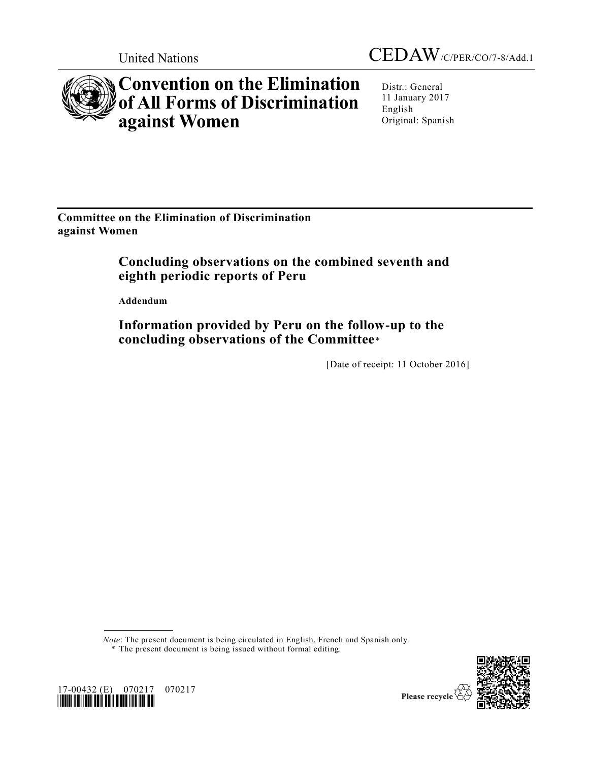

# **Convention on the Elimination of All Forms of Discrimination against Women**

Distr.: General 11 January 2017 English Original: Spanish

**Committee on the Elimination of Discrimination against Women**

# **Concluding observations on the combined seventh and eighth periodic reports of Peru**

**Addendum**

**Information provided by Peru on the follow-up to the concluding observations of the Committee**\*

[Date of receipt: 11 October 2016]

*Note*: The present document is being circulated in English, French and Spanish only.

\* The present document is being issued without formal editing.



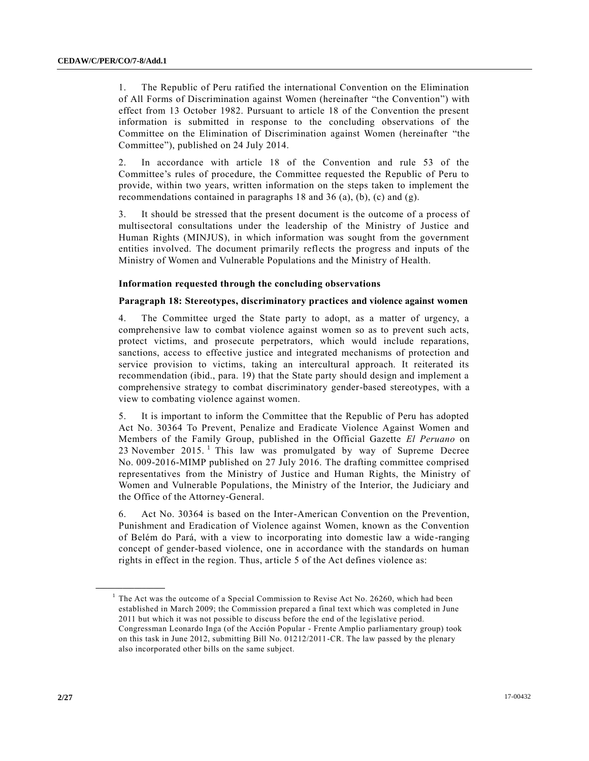1. The Republic of Peru ratified the international Convention on the Elimination of All Forms of Discrimination against Women (hereinafter "the Convention") with effect from 13 October 1982. Pursuant to article 18 of the Convention the present information is submitted in response to the concluding observations of the Committee on the Elimination of Discrimination against Women (hereinafter "the Committee"), published on 24 July 2014.

2. In accordance with article 18 of the Convention and rule 53 of the Committee's rules of procedure, the Committee requested the Republic of Peru to provide, within two years, written information on the steps taken to implement the recommendations contained in paragraphs 18 and 36 (a), (b), (c) and (g).

3. It should be stressed that the present document is the outcome of a process of multisectoral consultations under the leadership of the Ministry of Justice and Human Rights (MINJUS), in which information was sought from the government entities involved. The document primarily reflects the progress and inputs of the Ministry of Women and Vulnerable Populations and the Ministry of Health.

#### **Information requested through the concluding observations**

# **Paragraph 18: Stereotypes, discriminatory practices and violence against women**

4. The Committee urged the State party to adopt, as a matter of urgency, a comprehensive law to combat violence against women so as to prevent such acts, protect victims, and prosecute perpetrators, which would include reparations, sanctions, access to effective justice and integrated mechanisms of protection and service provision to victims, taking an intercultural approach. It reiterated its recommendation (ibid., para. 19) that the State party should design and implement a comprehensive strategy to combat discriminatory gender-based stereotypes, with a view to combating violence against women.

5. It is important to inform the Committee that the Republic of Peru has adopted Act No. 30364 To Prevent, Penalize and Eradicate Violence Against Women and Members of the Family Group, published in the Official Gazette *El Peruano* on 23 November 2015.  $\frac{1}{1}$  This law was promulgated by way of Supreme Decree No. 009-2016-MIMP published on 27 July 2016. The drafting committee comprised representatives from the Ministry of Justice and Human Rights, the Ministry of Women and Vulnerable Populations, the Ministry of the Interior, the Judiciary and the Office of the Attorney-General.

6. Act No. 30364 is based on the Inter-American Convention on the Prevention, Punishment and Eradication of Violence against Women, known as the Convention of Belém do Pará, with a view to incorporating into domestic law a wide -ranging concept of gender-based violence, one in accordance with the standards on human rights in effect in the region. Thus, article 5 of the Act defines violence as:

**\_\_\_\_\_\_\_\_\_\_\_\_\_\_\_\_\_\_**

<sup>&</sup>lt;sup>1</sup> The Act was the outcome of a Special Commission to Revise Act No. 26260, which had been established in March 2009; the Commission prepared a final text which was completed in June 2011 but which it was not possible to discuss before the end of the legislative period. Congressman Leonardo Inga (of the Acción Popular - Frente Amplio parliamentary group) took on this task in June 2012, submitting Bill No. 01212/2011-CR. The law passed by the plenary also incorporated other bills on the same subject.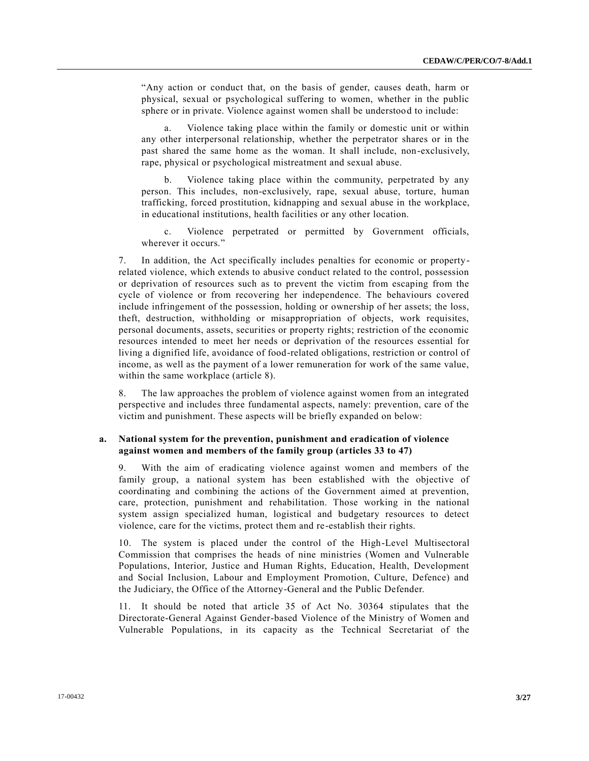"Any action or conduct that, on the basis of gender, causes death, harm or physical, sexual or psychological suffering to women, whether in the public sphere or in private. Violence against women shall be understood to include:

a. Violence taking place within the family or domestic unit or within any other interpersonal relationship, whether the perpetrator shares or in the past shared the same home as the woman. It shall include, non-exclusively, rape, physical or psychological mistreatment and sexual abuse.

Violence taking place within the community, perpetrated by any person. This includes, non-exclusively, rape, sexual abuse, torture, human trafficking, forced prostitution, kidnapping and sexual abuse in the workplace, in educational institutions, health facilities or any other location.

c. Violence perpetrated or permitted by Government officials, wherever it occurs."

7. In addition, the Act specifically includes penalties for economic or propertyrelated violence, which extends to abusive conduct related to the control, possession or deprivation of resources such as to prevent the victim from escaping from the cycle of violence or from recovering her independence. The behaviours covered include infringement of the possession, holding or ownership of her assets; the loss, theft, destruction, withholding or misappropriation of objects, work requisites, personal documents, assets, securities or property rights; restriction of the economic resources intended to meet her needs or deprivation of the resources essential for living a dignified life, avoidance of food-related obligations, restriction or control of income, as well as the payment of a lower remuneration for work of the same value, within the same workplace (article 8).

8. The law approaches the problem of violence against women from an integrated perspective and includes three fundamental aspects, namely: prevention, care of the victim and punishment. These aspects will be briefly expanded on below:

# **a. National system for the prevention, punishment and eradication of violence against women and members of the family group (articles 33 to 47)**

9. With the aim of eradicating violence against women and members of the family group, a national system has been established with the objective of coordinating and combining the actions of the Government aimed at prevention, care, protection, punishment and rehabilitation. Those working in the national system assign specialized human, logistical and budgetary resources to detect violence, care for the victims, protect them and re-establish their rights.

10. The system is placed under the control of the High-Level Multisectoral Commission that comprises the heads of nine ministries (Women and Vulnerable Populations, Interior, Justice and Human Rights, Education, Health, Development and Social Inclusion, Labour and Employment Promotion, Culture, Defence) and the Judiciary, the Office of the Attorney-General and the Public Defender.

11. It should be noted that article 35 of Act No. 30364 stipulates that the Directorate-General Against Gender-based Violence of the Ministry of Women and Vulnerable Populations, in its capacity as the Technical Secretariat of the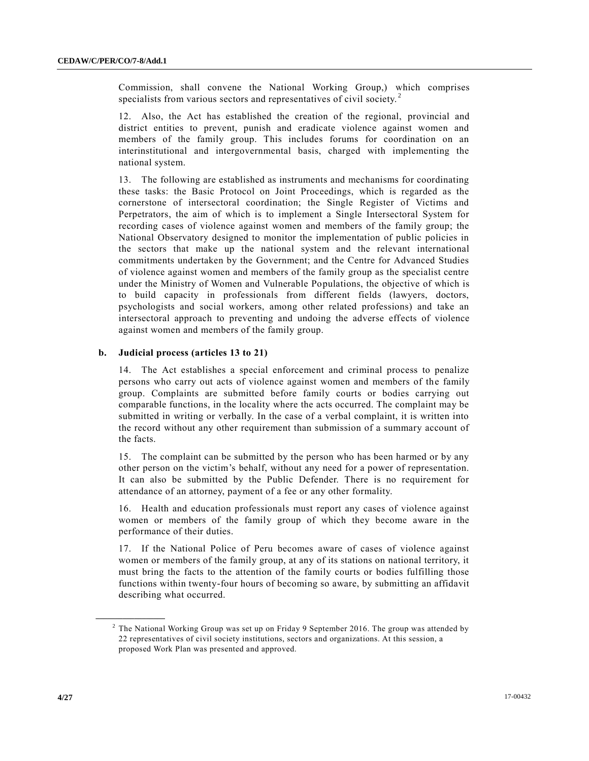Commission, shall convene the National Working Group,) which comprises specialists from various sectors and representatives of civil society.<sup>2</sup>

12. Also, the Act has established the creation of the regional, provincial and district entities to prevent, punish and eradicate violence against women and members of the family group. This includes forums for coordination on an interinstitutional and intergovernmental basis, charged with implementing the national system.

13. The following are established as instruments and mechanisms for coordinating these tasks: the Basic Protocol on Joint Proceedings, which is regarded as the cornerstone of intersectoral coordination; the Single Register of Victims and Perpetrators, the aim of which is to implement a Single Intersectoral System for recording cases of violence against women and members of the family group; the National Observatory designed to monitor the implementation of public policies in the sectors that make up the national system and the relevant international commitments undertaken by the Government; and the Centre for Advanced Studies of violence against women and members of the family group as the specialist centre under the Ministry of Women and Vulnerable Populations, the objective of which is to build capacity in professionals from different fields (lawyers, doctors, psychologists and social workers, among other related professions) and take an intersectoral approach to preventing and undoing the adverse effects of violence against women and members of the family group.

# **b. Judicial process (articles 13 to 21)**

14. The Act establishes a special enforcement and criminal process to penalize persons who carry out acts of violence against women and members of the family group. Complaints are submitted before family courts or bodies carrying out comparable functions, in the locality where the acts occurred. The complaint may be submitted in writing or verbally. In the case of a verbal complaint, it is written into the record without any other requirement than submission of a summary account of the facts.

15. The complaint can be submitted by the person who has been harmed or by any other person on the victim's behalf, without any need for a power of representation. It can also be submitted by the Public Defender. There is no requirement for attendance of an attorney, payment of a fee or any other formality.

16. Health and education professionals must report any cases of violence against women or members of the family group of which they become aware in the performance of their duties.

17. If the National Police of Peru becomes aware of cases of violence against women or members of the family group, at any of its stations on national territory, it must bring the facts to the attention of the family courts or bodies fulfilling those functions within twenty-four hours of becoming so aware, by submitting an affidavit describing what occurred.

**\_\_\_\_\_\_\_\_\_\_\_\_\_\_\_\_\_\_**

<sup>&</sup>lt;sup>2</sup> The National Working Group was set up on Friday 9 September 2016. The group was attended by 22 representatives of civil society institutions, sectors and organizations. At this session, a proposed Work Plan was presented and approved.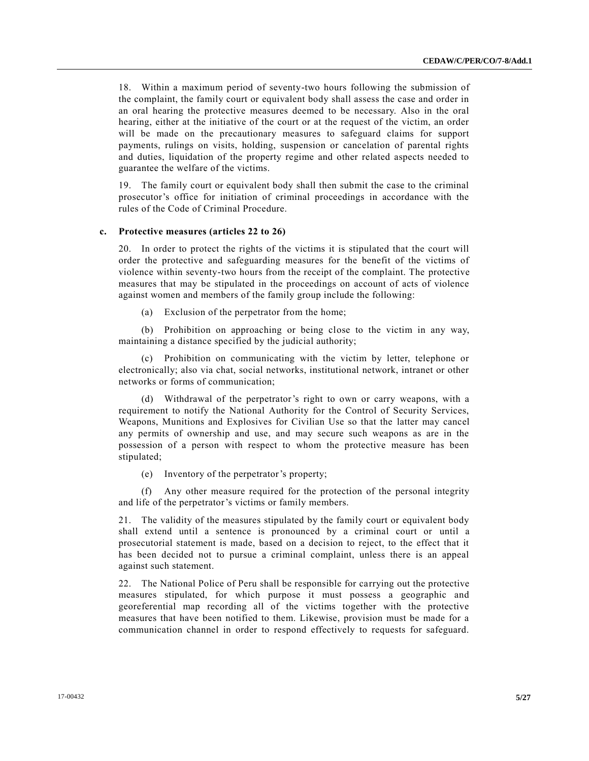18. Within a maximum period of seventy-two hours following the submission of the complaint, the family court or equivalent body shall assess the case and order in an oral hearing the protective measures deemed to be necessary. Also in the oral hearing, either at the initiative of the court or at the request of the victim, an order will be made on the precautionary measures to safeguard claims for support payments, rulings on visits, holding, suspension or cancelation of parental rights and duties, liquidation of the property regime and other related aspects needed to guarantee the welfare of the victims.

19. The family court or equivalent body shall then submit the case to the criminal prosecutor's office for initiation of criminal proceedings in accordance with the rules of the Code of Criminal Procedure.

# **c. Protective measures (articles 22 to 26)**

20. In order to protect the rights of the victims it is stipulated that the court will order the protective and safeguarding measures for the benefit of the victims of violence within seventy-two hours from the receipt of the complaint. The protective measures that may be stipulated in the proceedings on account of acts of violence against women and members of the family group include the following:

(a) Exclusion of the perpetrator from the home;

(b) Prohibition on approaching or being close to the victim in any way, maintaining a distance specified by the judicial authority;

(c) Prohibition on communicating with the victim by letter, telephone or electronically; also via chat, social networks, institutional network, intranet or other networks or forms of communication;

(d) Withdrawal of the perpetrator's right to own or carry weapons, with a requirement to notify the National Authority for the Control of Security Services, Weapons, Munitions and Explosives for Civilian Use so that the latter may cancel any permits of ownership and use, and may secure such weapons as are in the possession of a person with respect to whom the protective measure has been stipulated;

(e) Inventory of the perpetrator's property;

(f) Any other measure required for the protection of the personal integrity and life of the perpetrator's victims or family members.

21. The validity of the measures stipulated by the family court or equivalent body shall extend until a sentence is pronounced by a criminal court or until a prosecutorial statement is made, based on a decision to reject, to the effect that it has been decided not to pursue a criminal complaint, unless there is an appeal against such statement.

22. The National Police of Peru shall be responsible for carrying out the protective measures stipulated, for which purpose it must possess a geographic and georeferential map recording all of the victims together with the protective measures that have been notified to them. Likewise, provision must be made for a communication channel in order to respond effectively to requests for safeguard.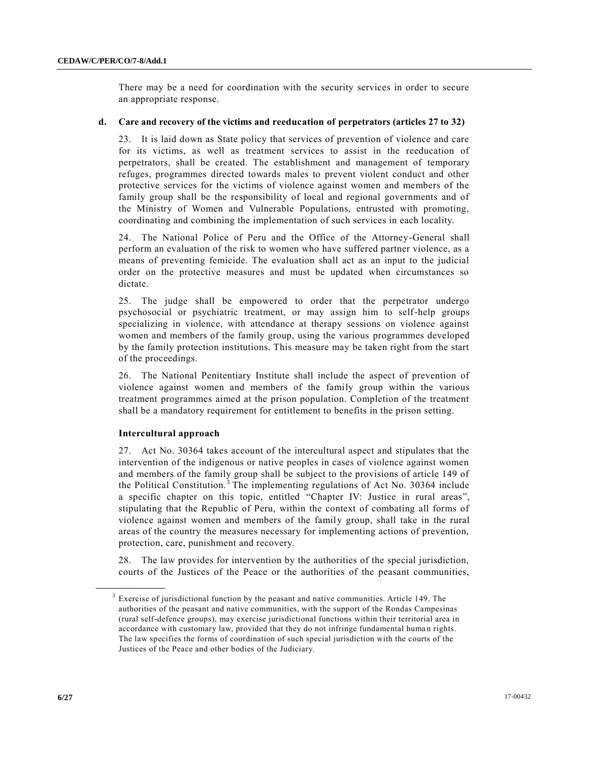There may be a need for coordination with the security services in order to secure an appropriate response.

# **d. Care and recovery of the victims and reeducation of perpetrators (articles 27 to 32)**

23. It is laid down as State policy that services of prevention of violence and care for its victims, as well as treatment services to assist in the reeducation of perpetrators, shall be created. The establishment and management of temporary refuges, programmes directed towards males to prevent violent conduct and other protective services for the victims of violence against women and members of the family group shall be the responsibility of local and regional governments and of the Ministry of Women and Vulnerable Populations, entrusted with promoting, coordinating and combining the implementation of such services in each locality.

24. The National Police of Peru and the Office of the Attorney-General shall perform an evaluation of the risk to women who have suffered partner violence, as a means of preventing femicide. The evaluation shall act as an input to the judicial order on the protective measures and must be updated when circumstances so dictate.

25. The judge shall be empowered to order that the perpetrator undergo psychosocial or psychiatric treatment, or may assign him to self-help groups specializing in violence, with attendance at therapy sessions on violence against women and members of the family group, using the various programmes developed by the family protection institutions. This measure may be taken right from the start of the proceedings.

26. The National Penitentiary Institute shall include the aspect of prevention of violence against women and members of the family group within the various treatment programmes aimed at the prison population. Completion of the treatment shall be a mandatory requirement for entitlement to benefits in the prison setting.

#### **Intercultural approach**

**\_\_\_\_\_\_\_\_\_\_\_\_\_\_\_\_\_\_**

27. Act No. 30364 takes account of the intercultural aspect and stipulates that the intervention of the indigenous or native peoples in cases of violence against women and members of the family group shall be subject to the provisions of article 149 of the Political Constitution.<sup>3</sup> The implementing regulations of Act No. 30364 include a specific chapter on this topic, entitled "Chapter IV: Justice in rural areas", stipulating that the Republic of Peru, within the context of combating all forms of violence against women and members of the family group, shall take in the rural areas of the country the measures necessary for implementing actions of prevention, protection, care, punishment and recovery.

28. The law provides for intervention by the authorities of the special jurisdiction, courts of the Justices of the Peace or the authorities of the peasant communities,

 $3$  Exercise of jurisdictional function by the peasant and native communities. Article 149. The authorities of the peasant and native communities, with the support of the Rondas Campesinas (rural self-defence groups), may exercise jurisdictional functions within their territorial area in accordance with customary law, provided that they do not infringe fundamental human rights. The law specifies the forms of coordination of such special jurisdiction with the courts of the Justices of the Peace and other bodies of the Judiciary.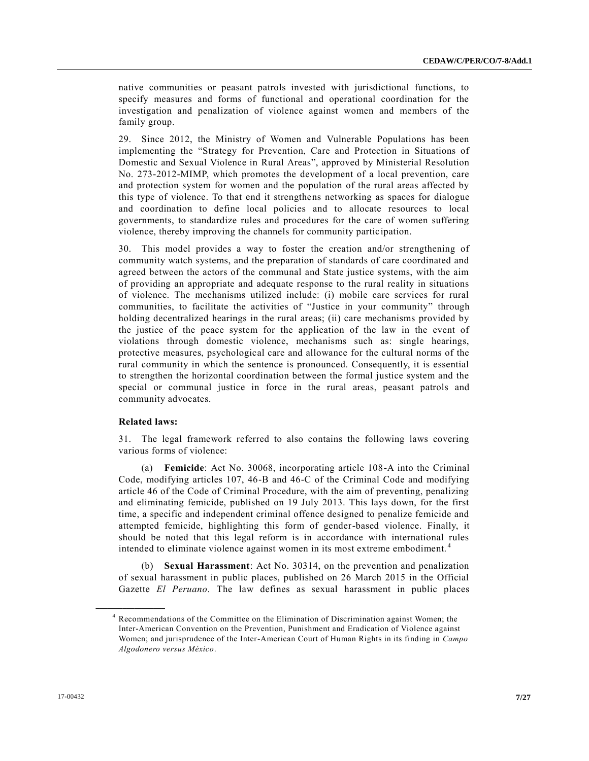native communities or peasant patrols invested with jurisdictional functions, to specify measures and forms of functional and operational coordination for the investigation and penalization of violence against women and members of the family group.

29. Since 2012, the Ministry of Women and Vulnerable Populations has been implementing the "Strategy for Prevention, Care and Protection in Situations of Domestic and Sexual Violence in Rural Areas", approved by Ministerial Resolution No. 273-2012-MIMP, which promotes the development of a local prevention, care and protection system for women and the population of the rural areas affected by this type of violence. To that end it strengthens networking as spaces for dialogue and coordination to define local policies and to allocate resources to local governments, to standardize rules and procedures for the care of women suffering violence, thereby improving the channels for community partic ipation.

30. This model provides a way to foster the creation and/or strengthening of community watch systems, and the preparation of standards of care coordinated and agreed between the actors of the communal and State justice systems, with the aim of providing an appropriate and adequate response to the rural reality in situations of violence. The mechanisms utilized include: (i) mobile care services for rural communities, to facilitate the activities of "Justice in your community" through holding decentralized hearings in the rural areas; (ii) care mechanisms provided by the justice of the peace system for the application of the law in the event of violations through domestic violence, mechanisms such as: single hearings, protective measures, psychological care and allowance for the cultural norms of the rural community in which the sentence is pronounced. Consequently, it is essential to strengthen the horizontal coordination between the formal justice system and the special or communal justice in force in the rural areas, peasant patrols and community advocates.

#### **Related laws:**

**\_\_\_\_\_\_\_\_\_\_\_\_\_\_\_\_\_\_**

31. The legal framework referred to also contains the following laws covering various forms of violence:

(a) **Femicide**: Act No. 30068, incorporating article 108-A into the Criminal Code, modifying articles 107, 46-B and 46-C of the Criminal Code and modifying article 46 of the Code of Criminal Procedure, with the aim of preventing, penalizing and eliminating femicide, published on 19 July 2013. This lays down, for the first time, a specific and independent criminal offence designed to penalize femicide and attempted femicide, highlighting this form of gender-based violence. Finally, it should be noted that this legal reform is in accordance with international rules intended to eliminate violence against women in its most extreme embodiment. <sup>4</sup>

(b) **Sexual Harassment**: Act No. 30314, on the prevention and penalization of sexual harassment in public places, published on 26 March 2015 in the Official Gazette *El Peruano*. The law defines as sexual harassment in public places

<sup>4</sup> Recommendations of the Committee on the Elimination of Discrimination against Women; the Inter-American Convention on the Prevention, Punishment and Eradication of Violence against Women; and jurisprudence of the Inter-American Court of Human Rights in its finding in *Campo Algodonero versus México*.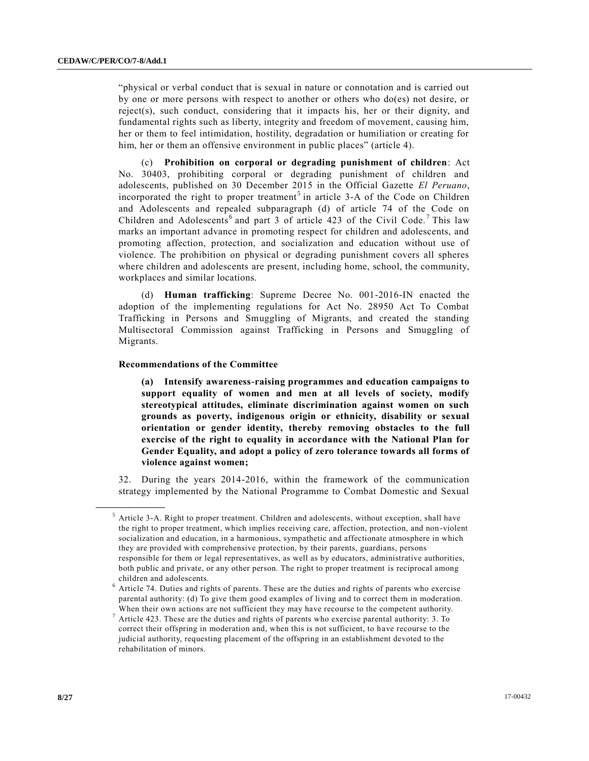"physical or verbal conduct that is sexual in nature or connotation and is carried out by one or more persons with respect to another or others who do(es) not desire, or reject(s), such conduct, considering that it impacts his, her or their dignity, and fundamental rights such as liberty, integrity and freedom of movement, causing him, her or them to feel intimidation, hostility, degradation or humiliation or creating for him, her or them an offensive environment in public places" (article 4).

(c) **Prohibition on corporal or degrading punishment of children**: Act No. 30403, prohibiting corporal or degrading punishment of children and adolescents, published on 30 December 2015 in the Official Gazette *El Peruano*, incorporated the right to proper treatment<sup>5</sup> in article  $3-A$  of the Code on Children and Adolescents and repealed subparagraph (d) of article 74 of the Code on Children and Adolescents<sup>6</sup> and part 3 of article 423 of the Civil Code.<sup>7</sup> This law marks an important advance in promoting respect for children and adolescents, and promoting affection, protection, and socialization and education without use of violence. The prohibition on physical or degrading punishment covers all spheres where children and adolescents are present, including home, school, the community, workplaces and similar locations.

(d) **Human trafficking**: Supreme Decree No. 001-2016-IN enacted the adoption of the implementing regulations for Act No. 28950 Act To Combat Trafficking in Persons and Smuggling of Migrants, and created the standing Multisectoral Commission against Trafficking in Persons and Smuggling of Migrants.

#### **Recommendations of the Committee**

**\_\_\_\_\_\_\_\_\_\_\_\_\_\_\_\_\_\_**

**(a) Intensify awareness-raising programmes and education campaigns to support equality of women and men at all levels of society, modify stereotypical attitudes, eliminate discrimination against women on such grounds as poverty, indigenous origin or ethnicity, disability or sexual orientation or gender identity, thereby removing obstacles to the full exercise of the right to equality in accordance with the National Plan for Gender Equality, and adopt a policy of zero tolerance towards all forms of violence against women;**

32. During the years 2014-2016, within the framework of the communication strategy implemented by the National Programme to Combat Domestic and Sexual

 $<sup>5</sup>$  Article 3-A. Right to proper treatment. Children and adolescents, without exception, shall have</sup> the right to proper treatment, which implies receiving care, affection, protection, and non -violent socialization and education, in a harmonious, sympathetic and affectionate atmosphere in which they are provided with comprehensive protection, by their parents, guardians, persons responsible for them or legal representatives, as well as by educators, administrative authorities, both public and private, or any other person. The right to proper treatment is reciprocal among children and adolescents.

 $6$  Article 74. Duties and rights of parents. These are the duties and rights of parents who exercise parental authority: (d) To give them good examples of living and to correct them in moderation. When their own actions are not sufficient they may have recourse to the competent authority.

 $7$  Article 423. These are the duties and rights of parents who exercise parental authority: 3. To correct their offspring in moderation and, when this is not sufficient, to have recourse to the judicial authority, requesting placement of the offspring in an establishment devoted to the rehabilitation of minors.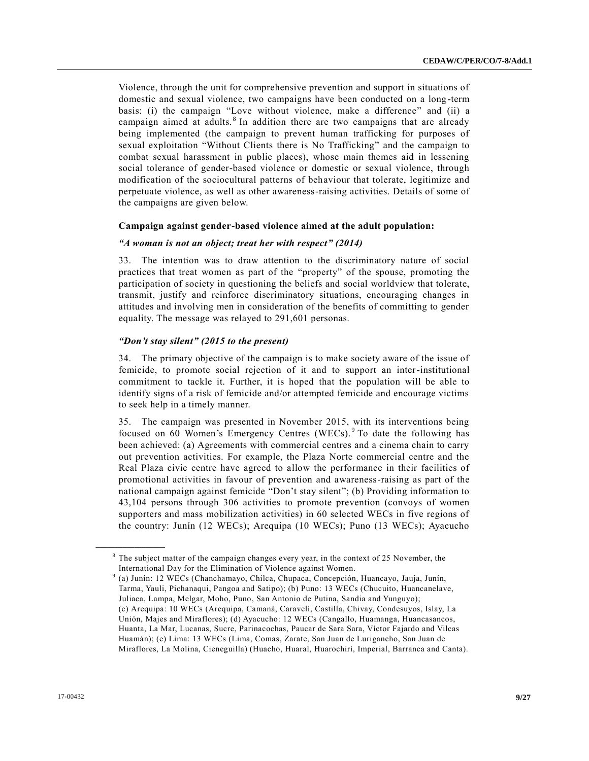Violence, through the unit for comprehensive prevention and support in situations of domestic and sexual violence, two campaigns have been conducted on a long -term basis: (i) the campaign "Love without violence, make a difference" and (ii) a campaign aimed at adults.<sup>8</sup> In addition there are two campaigns that are already being implemented (the campaign to prevent human trafficking for purposes of sexual exploitation "Without Clients there is No Trafficking" and the campaign to combat sexual harassment in public places), whose main themes aid in lessening social tolerance of gender-based violence or domestic or sexual violence, through modification of the sociocultural patterns of behaviour that tolerate, legitimize and perpetuate violence, as well as other awareness-raising activities. Details of some of the campaigns are given below.

#### **Campaign against gender-based violence aimed at the adult population:**

#### *"A woman is not an object; treat her with respect" (2014)*

33. The intention was to draw attention to the discriminatory nature of social practices that treat women as part of the "property" of the spouse, promoting the participation of society in questioning the beliefs and social worldview that tolerate, transmit, justify and reinforce discriminatory situations, encouraging changes in attitudes and involving men in consideration of the benefits of committing to gender equality. The message was relayed to 291,601 personas.

#### *"Don't stay silent" (2015 to the present)*

34. The primary objective of the campaign is to make society aware of the issue of femicide, to promote social rejection of it and to support an inter-institutional commitment to tackle it. Further, it is hoped that the population will be able to identify signs of a risk of femicide and/or attempted femicide and encourage victims to seek help in a timely manner.

35. The campaign was presented in November 2015, with its interventions being focused on 60 Women's Emergency Centres (WECs). <sup>9</sup> To date the following has been achieved: (a) Agreements with commercial centres and a cinema chain to carry out prevention activities. For example, the Plaza Norte commercial centre and the Real Plaza civic centre have agreed to allow the performance in their facilities of promotional activities in favour of prevention and awareness-raising as part of the national campaign against femicide "Don't stay silent"; (b) Providing information to 43,104 persons through 306 activities to promote prevention (convoys of women supporters and mass mobilization activities) in 60 selected WECs in five regions of the country: Junín (12 WECs); Arequipa (10 WECs); Puno (13 WECs); Ayacucho

**\_\_\_\_\_\_\_\_\_\_\_\_\_\_\_\_\_\_**

 $8$  The subject matter of the campaign changes every year, in the context of 25 November, the International Day for the Elimination of Violence against Women.

<sup>9</sup> (a) Junín: 12 WECs (Chanchamayo, Chilca, Chupaca, Concepción, Huancayo, Jauja, Junín, Tarma, Yauli, Pichanaqui, Pangoa and Satipo); (b) Puno: 13 WECs (Chucuito, Huancanelave, Juliaca, Lampa, Melgar, Moho, Puno, San Antonio de Putina, Sandia and Yunguyo); (c) Arequipa: 10 WECs (Arequipa, Camaná, Caravelí, Castilla, Chivay, Condesuyos, Islay, La Unión, Majes and Miraflores); (d) Ayacucho: 12 WECs (Cangallo, Huamanga, Huancasancos, Huanta, La Mar, Lucanas, Sucre, Parinacochas, Paucar de Sara Sara, Víctor Fajardo and Vilcas Huamán); (e) Lima: 13 WECs (Lima, Comas, Zarate, San Juan de Lurigancho, San Juan de Miraflores, La Molina, Cieneguilla) (Huacho, Huaral, Huarochirí, Imperial, Barranca and Canta).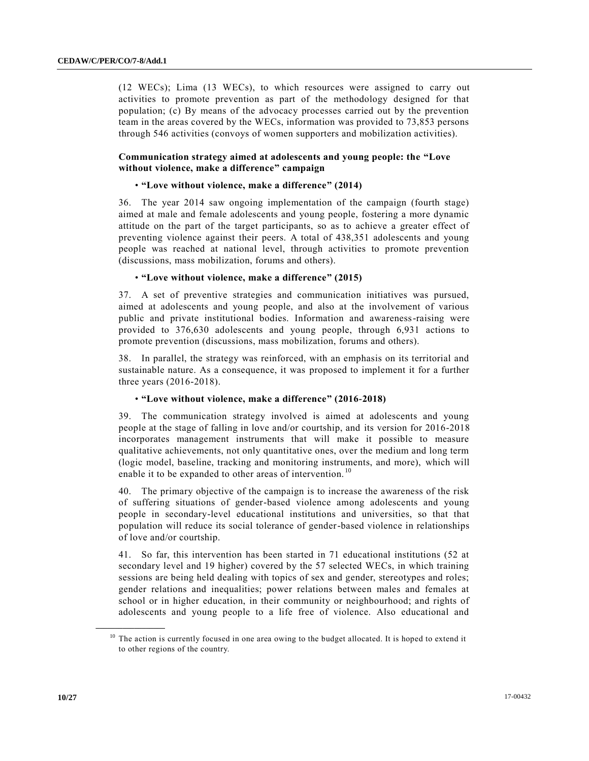(12 WECs); Lima (13 WECs), to which resources were assigned to carry out activities to promote prevention as part of the methodology designed for that population; (c) By means of the advocacy processes carried out by the prevention team in the areas covered by the WECs, information was provided to 73,853 persons through 546 activities (convoys of women supporters and mobilization activities).

# **Communication strategy aimed at adolescents and young people: the "Love without violence, make a difference" campaign**

#### • **"Love without violence, make a difference" (2014)**

36. The year 2014 saw ongoing implementation of the campaign (fourth stage) aimed at male and female adolescents and young people, fostering a more dynamic attitude on the part of the target participants, so as to achieve a greater effect of preventing violence against their peers. A total of 438,351 adolescents and young people was reached at national level, through activities to promote prevention (discussions, mass mobilization, forums and others).

#### • **"Love without violence, make a difference" (2015)**

37. A set of preventive strategies and communication initiatives was pursued, aimed at adolescents and young people, and also at the involvement of various public and private institutional bodies. Information and awareness-raising were provided to 376,630 adolescents and young people, through 6,931 actions to promote prevention (discussions, mass mobilization, forums and others).

38. In parallel, the strategy was reinforced, with an emphasis on its territorial and sustainable nature. As a consequence, it was proposed to implement it for a further three years (2016-2018).

#### • **"Love without violence, make a difference" (2016-2018)**

39. The communication strategy involved is aimed at adolescents and young people at the stage of falling in love and/or courtship, and its version for 2016-2018 incorporates management instruments that will make it possible to measure qualitative achievements, not only quantitative ones, over the medium and long term (logic model, baseline, tracking and monitoring instruments, and more), which will enable it to be expanded to other areas of intervention.<sup>10</sup>

40. The primary objective of the campaign is to increase the awareness of the risk of suffering situations of gender-based violence among adolescents and young people in secondary-level educational institutions and universities, so that that population will reduce its social tolerance of gender-based violence in relationships of love and/or courtship.

41. So far, this intervention has been started in 71 educational institutions (52 at secondary level and 19 higher) covered by the 57 selected WECs, in which training sessions are being held dealing with topics of sex and gender, stereotypes and roles; gender relations and inequalities; power relations between males and females at school or in higher education, in their community or neighbourhood; and rights of adolescents and young people to a life free of violence. Also educational and

**\_\_\_\_\_\_\_\_\_\_\_\_\_\_\_\_\_\_**

<sup>&</sup>lt;sup>10</sup> The action is currently focused in one area owing to the budget allocated. It is hoped to extend it to other regions of the country.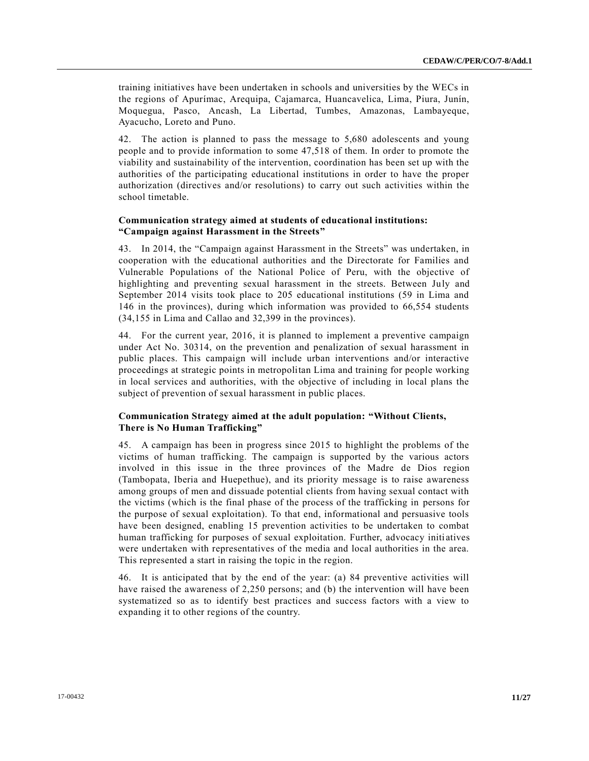training initiatives have been undertaken in schools and universities by the WECs in the regions of Apurímac, Arequipa, Cajamarca, Huancavelica, Lima, Piura, Junín, Moquegua, Pasco, Ancash, La Libertad, Tumbes, Amazonas, Lambayeque, Ayacucho, Loreto and Puno.

42. The action is planned to pass the message to 5,680 adolescents and young people and to provide information to some 47,518 of them. In order to promote the viability and sustainability of the intervention, coordination has been set up with the authorities of the participating educational institutions in order to have the proper authorization (directives and/or resolutions) to carry out such activities within the school timetable.

# **Communication strategy aimed at students of educational institutions: "Campaign against Harassment in the Streets"**

43. In 2014, the "Campaign against Harassment in the Streets" was undertaken, in cooperation with the educational authorities and the Directorate for Families and Vulnerable Populations of the National Police of Peru, with the objective of highlighting and preventing sexual harassment in the streets. Between July and September 2014 visits took place to 205 educational institutions (59 in Lima and 146 in the provinces), during which information was provided to 66,554 students (34,155 in Lima and Callao and 32,399 in the provinces).

44. For the current year, 2016, it is planned to implement a preventive campaign under Act No. 30314, on the prevention and penalization of sexual harassment in public places. This campaign will include urban interventions and/or interactive proceedings at strategic points in metropolitan Lima and training for people working in local services and authorities, with the objective of including in local plans the subject of prevention of sexual harassment in public places.

# **Communication Strategy aimed at the adult population: "Without Clients, There is No Human Trafficking"**

45. A campaign has been in progress since 2015 to highlight the problems of the victims of human trafficking. The campaign is supported by the various actors involved in this issue in the three provinces of the Madre de Dios region (Tambopata, Iberia and Huepethue), and its priority message is to raise awareness among groups of men and dissuade potential clients from having sexual contact with the victims (which is the final phase of the process of the trafficking in persons for the purpose of sexual exploitation). To that end, informational and persuasive tools have been designed, enabling 15 prevention activities to be undertaken to combat human trafficking for purposes of sexual exploitation. Further, advocacy initi atives were undertaken with representatives of the media and local authorities in the area. This represented a start in raising the topic in the region.

46. It is anticipated that by the end of the year: (a) 84 preventive activities will have raised the awareness of 2,250 persons; and (b) the intervention will have been systematized so as to identify best practices and success factors with a view to expanding it to other regions of the country.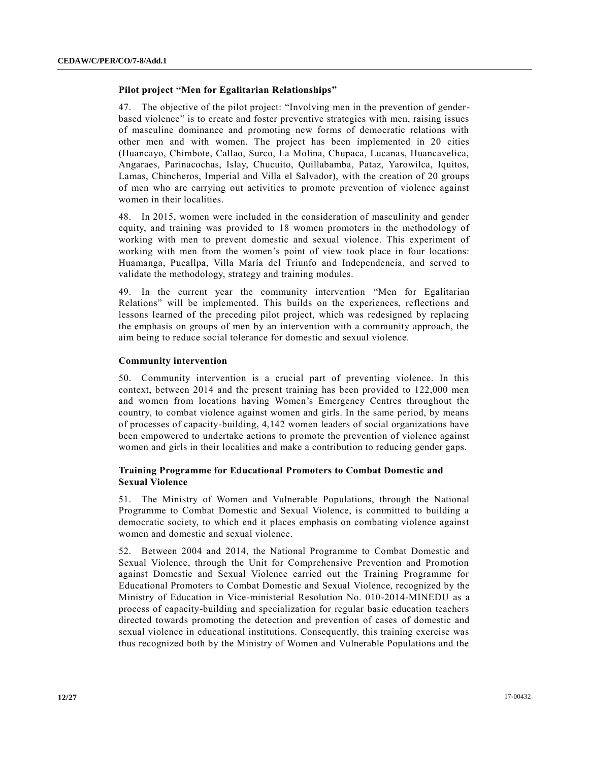# **Pilot project "Men for Egalitarian Relationships"**

47. The objective of the pilot project: "Involving men in the prevention of genderbased violence" is to create and foster preventive strategies with men, raising issues of masculine dominance and promoting new forms of democratic relations with other men and with women. The project has been implemented in 20 cities (Huancayo, Chimbote, Callao, Surco, La Molina, Chupaca, Lucanas, Huancavelica, Angaraes, Parinacochas, Islay, Chucuito, Quillabamba, Pataz, Yarowilca, Iquitos, Lamas, Chincheros, Imperial and Villa el Salvador), with the creation of 20 groups of men who are carrying out activities to promote prevention of violence against women in their localities.

48. In 2015, women were included in the consideration of masculinity and gender equity, and training was provided to 18 women promoters in the methodology of working with men to prevent domestic and sexual violence. This experiment of working with men from the women's point of view took place in four locations: Huamanga, Pucallpa, Villa María del Triunfo and Independencia, and served to validate the methodology, strategy and training modules.

49. In the current year the community intervention "Men for Egalitarian Relations" will be implemented. This builds on the experiences, reflections and lessons learned of the preceding pilot project, which was redesigned by replacing the emphasis on groups of men by an intervention with a community approach, the aim being to reduce social tolerance for domestic and sexual violence.

#### **Community intervention**

50. Community intervention is a crucial part of preventing violence. In this context, between 2014 and the present training has been provided to 122,000 men and women from locations having Women's Emergency Centres throughout the country, to combat violence against women and girls. In the same period, by means of processes of capacity-building, 4,142 women leaders of social organizations have been empowered to undertake actions to promote the prevention of violence against women and girls in their localities and make a contribution to reducing gender gaps.

# **Training Programme for Educational Promoters to Combat Domestic and Sexual Violence**

51. The Ministry of Women and Vulnerable Populations, through the National Programme to Combat Domestic and Sexual Violence, is committed to building a democratic society, to which end it places emphasis on combating violence against women and domestic and sexual violence.

52. Between 2004 and 2014, the National Programme to Combat Domestic and Sexual Violence, through the Unit for Comprehensive Prevention and Promotion against Domestic and Sexual Violence carried out the Training Programme for Educational Promoters to Combat Domestic and Sexual Violence, recognized by the Ministry of Education in Vice-ministerial Resolution No. 010-2014-MINEDU as a process of capacity-building and specialization for regular basic education teachers directed towards promoting the detection and prevention of cases of domestic and sexual violence in educational institutions. Consequently, this training exercise was thus recognized both by the Ministry of Women and Vulnerable Populations and the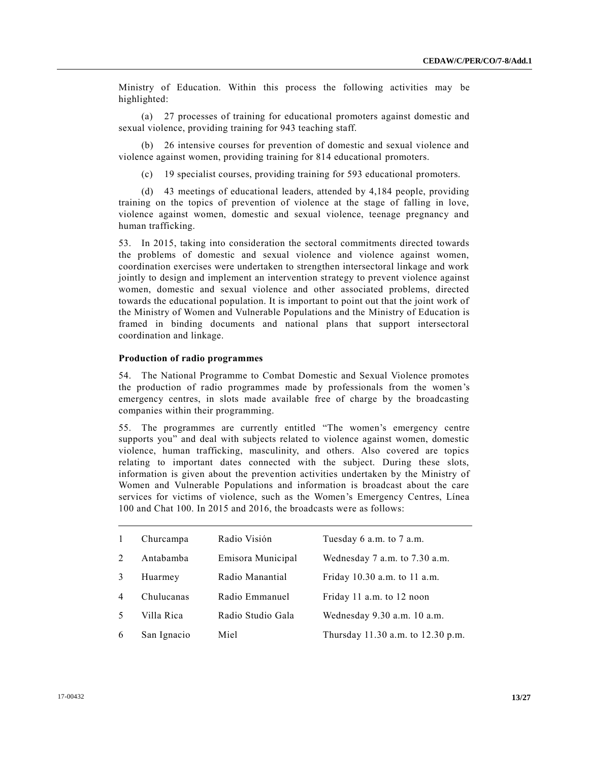Ministry of Education. Within this process the following activities may be highlighted:

(a) 27 processes of training for educational promoters against domestic and sexual violence, providing training for 943 teaching staff.

(b) 26 intensive courses for prevention of domestic and sexual violence and violence against women, providing training for 814 educational promoters.

(c) 19 specialist courses, providing training for 593 educational promoters.

(d) 43 meetings of educational leaders, attended by 4,184 people, providing training on the topics of prevention of violence at the stage of falling in love, violence against women, domestic and sexual violence, teenage pregnancy and human trafficking.

53. In 2015, taking into consideration the sectoral commitments directed towards the problems of domestic and sexual violence and violence against women, coordination exercises were undertaken to strengthen intersectoral linkage and work jointly to design and implement an intervention strategy to prevent violence against women, domestic and sexual violence and other associated problems, directed towards the educational population. It is important to point out that the joint work of the Ministry of Women and Vulnerable Populations and the Ministry of Education is framed in binding documents and national plans that support intersectoral coordination and linkage.

# **Production of radio programmes**

54. The National Programme to Combat Domestic and Sexual Violence promotes the production of radio programmes made by professionals from the women's emergency centres, in slots made available free of charge by the broadcasting companies within their programming.

55. The programmes are currently entitled "The women's emergency centre supports you" and deal with subjects related to violence against women, domestic violence, human trafficking, masculinity, and others. Also covered are topics relating to important dates connected with the subject. During these slots, information is given about the prevention activities undertaken by the Ministry of Women and Vulnerable Populations and information is broadcast about the care services for victims of violence, such as the Women's Emergency Centres, Línea 100 and Chat 100. In 2015 and 2016, the broadcasts were as follows:

| $\overline{1}$ | Churcampa   | Radio Visión      | Tuesday 6 a.m. to 7 a.m.          |
|----------------|-------------|-------------------|-----------------------------------|
| $\mathcal{L}$  | Antabamba   | Emisora Municipal | Wednesday 7 a.m. to 7.30 a.m.     |
| 3              | Huarmey     | Radio Manantial   | Friday 10.30 a.m. to 11 a.m.      |
| $\overline{4}$ | Chulucanas  | Radio Emmanuel    | Friday 11 a.m. to 12 noon         |
| .5             | Villa Rica  | Radio Studio Gala | Wednesday 9.30 a.m. 10 a.m.       |
| 6              | San Ignacio | Miel              | Thursday 11.30 a.m. to 12.30 p.m. |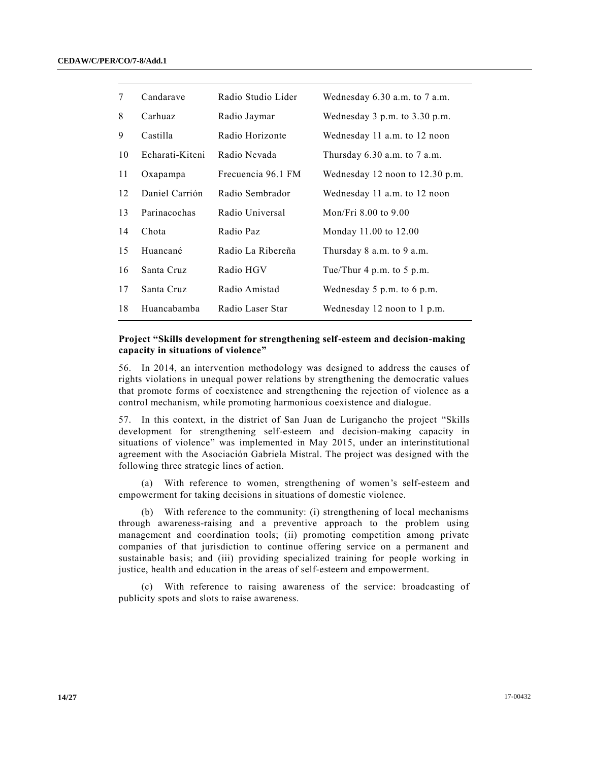| 7  | Candarave       | Radio Studio Líder | Wednesday $6.30$ a.m. to $7$ a.m. |
|----|-----------------|--------------------|-----------------------------------|
| 8  | Carhuaz         | Radio Jaymar       | Wednesday 3 p.m. to 3.30 p.m.     |
| 9  | Castilla        | Radio Horizonte    | Wednesday 11 a.m. to 12 noon      |
| 10 | Echarati-Kiteni | Radio Nevada       | Thursday $6.30$ a.m. to $7$ a.m.  |
| 11 | Oxapampa        | Frecuencia 96.1 FM | Wednesday 12 noon to $12.30$ p.m. |
| 12 | Daniel Carrión  | Radio Sembrador    | Wednesday 11 a.m. to 12 noon      |
| 13 | Parinacochas    | Radio Universal    | Mon/Fri 8.00 to 9.00              |
| 14 | Chota           | Radio Paz          | Monday 11.00 to 12.00             |
| 15 | Huancané        | Radio La Ribereña  | Thursday $8$ a.m. to $9$ a.m.     |
| 16 | Santa Cruz      | Radio HGV          | Tue/Thur 4 p.m. to 5 p.m.         |
| 17 | Santa Cruz      | Radio Amistad      | Wednesday 5 p.m. to 6 p.m.        |
| 18 | Huancabamba     | Radio Laser Star   | Wednesday 12 noon to 1 p.m.       |
|    |                 |                    |                                   |

# **Project "Skills development for strengthening self-esteem and decision-making capacity in situations of violence"**

56. In 2014, an intervention methodology was designed to address the causes of rights violations in unequal power relations by strengthening the democratic values that promote forms of coexistence and strengthening the rejection of violence as a control mechanism, while promoting harmonious coexistence and dialogue.

57. In this context, in the district of San Juan de Lurigancho the project "Skills development for strengthening self-esteem and decision-making capacity in situations of violence" was implemented in May 2015, under an interinstitutional agreement with the Asociación Gabriela Mistral. The project was designed with the following three strategic lines of action.

(a) With reference to women, strengthening of women's self-esteem and empowerment for taking decisions in situations of domestic violence.

(b) With reference to the community: (i) strengthening of local mechanisms through awareness-raising and a preventive approach to the problem using management and coordination tools; (ii) promoting competition among private companies of that jurisdiction to continue offering service on a permanent and sustainable basis; and (iii) providing specialized training for people working in justice, health and education in the areas of self-esteem and empowerment.

(c) With reference to raising awareness of the service: broadcasting of publicity spots and slots to raise awareness.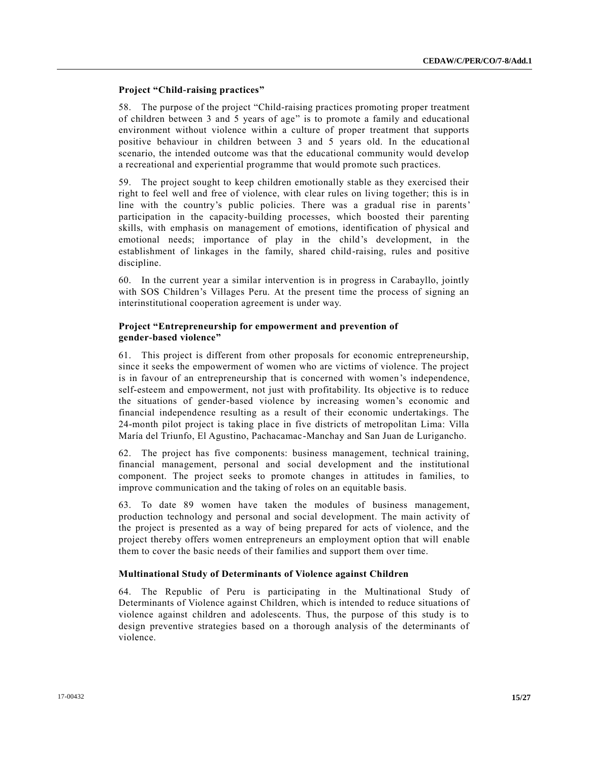# **Project "Child-raising practices"**

58. The purpose of the project "Child-raising practices promoting proper treatment of children between 3 and 5 years of age" is to promote a family and educational environment without violence within a culture of proper treatment that supports positive behaviour in children between 3 and 5 years old. In the educational scenario, the intended outcome was that the educational community would develop a recreational and experiential programme that would promote such practices.

59. The project sought to keep children emotionally stable as they exercised their right to feel well and free of violence, with clear rules on living together; this is in line with the country's public policies. There was a gradual rise in parents' participation in the capacity-building processes, which boosted their parenting skills, with emphasis on management of emotions, identification of physical and emotional needs; importance of play in the child's development, in the establishment of linkages in the family, shared child-raising, rules and positive discipline.

60. In the current year a similar intervention is in progress in Carabayllo, jointly with SOS Children's Villages Peru. At the present time the process of signing an interinstitutional cooperation agreement is under way.

# **Project "Entrepreneurship for empowerment and prevention of gender-based violence"**

61. This project is different from other proposals for economic entrepreneurship, since it seeks the empowerment of women who are victims of violence. The project is in favour of an entrepreneurship that is concerned with women's independence, self-esteem and empowerment, not just with profitability. Its objective is to reduce the situations of gender-based violence by increasing women's economic and financial independence resulting as a result of their economic undertakings. The 24-month pilot project is taking place in five districts of metropolitan Lima: Villa María del Triunfo, El Agustino, Pachacamac-Manchay and San Juan de Lurigancho.

62. The project has five components: business management, technical training, financial management, personal and social development and the institutional component. The project seeks to promote changes in attitudes in families, to improve communication and the taking of roles on an equitable basis.

63. To date 89 women have taken the modules of business management, production technology and personal and social development. The main activity of the project is presented as a way of being prepared for acts of violence, and the project thereby offers women entrepreneurs an employment option that will enable them to cover the basic needs of their families and support them over time.

#### **Multinational Study of Determinants of Violence against Children**

64. The Republic of Peru is participating in the Multinational Study of Determinants of Violence against Children, which is intended to reduce situations of violence against children and adolescents. Thus, the purpose of this study is to design preventive strategies based on a thorough analysis of the determinants of violence.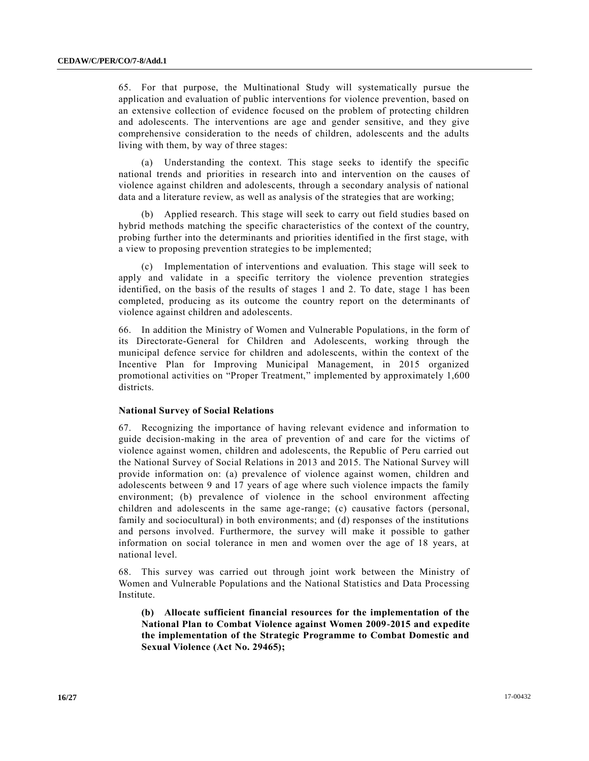65. For that purpose, the Multinational Study will systematically pursue the application and evaluation of public interventions for violence prevention, based on an extensive collection of evidence focused on the problem of protecting children and adolescents. The interventions are age and gender sensitive, and they give comprehensive consideration to the needs of children, adolescents and the adults living with them, by way of three stages:

(a) Understanding the context. This stage seeks to identify the specific national trends and priorities in research into and intervention on the causes of violence against children and adolescents, through a secondary analysis of national data and a literature review, as well as analysis of the strategies that are working;

(b) Applied research. This stage will seek to carry out field studies based on hybrid methods matching the specific characteristics of the context of the country, probing further into the determinants and priorities identified in the first stage, with a view to proposing prevention strategies to be implemented;

(c) Implementation of interventions and evaluation. This stage will seek to apply and validate in a specific territory the violence prevention strategies identified, on the basis of the results of stages 1 and 2. To date, stage 1 has been completed, producing as its outcome the country report on the determinants of violence against children and adolescents.

66. In addition the Ministry of Women and Vulnerable Populations, in the form of its Directorate-General for Children and Adolescents, working through the municipal defence service for children and adolescents, within the context of the Incentive Plan for Improving Municipal Management, in 2015 organized promotional activities on "Proper Treatment," implemented by approximately 1,600 districts.

#### **National Survey of Social Relations**

67. Recognizing the importance of having relevant evidence and information to guide decision-making in the area of prevention of and care for the victims of violence against women, children and adolescents, the Republic of Peru carried out the National Survey of Social Relations in 2013 and 2015. The National Survey will provide information on: (a) prevalence of violence against women, children and adolescents between 9 and 17 years of age where such violence impacts the family environment; (b) prevalence of violence in the school environment affecting children and adolescents in the same age-range; (c) causative factors (personal, family and sociocultural) in both environments; and (d) responses of the institutions and persons involved. Furthermore, the survey will make it possible to gather information on social tolerance in men and women over the age of 18 years, at national level.

68. This survey was carried out through joint work between the Ministry of Women and Vulnerable Populations and the National Statistics and Data Processing Institute.

**(b) Allocate sufficient financial resources for the implementation of the National Plan to Combat Violence against Women 2009-2015 and expedite the implementation of the Strategic Programme to Combat Domestic and Sexual Violence (Act No. 29465);**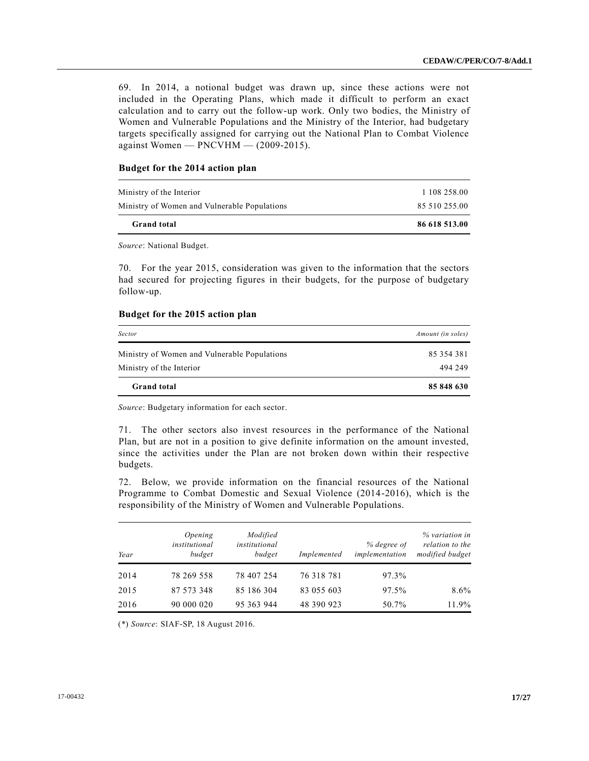69. In 2014, a notional budget was drawn up, since these actions were not included in the Operating Plans, which made it difficult to perform an exact calculation and to carry out the follow-up work. Only two bodies, the Ministry of Women and Vulnerable Populations and the Ministry of the Interior, had budgetary targets specifically assigned for carrying out the National Plan to Combat Violence against Women — PNCVHM — (2009-2015).

# **Budget for the 2014 action plan**

| 85 510 255.00 |
|---------------|
|               |
| 1 108 258.00  |
|               |

*Source*: National Budget.

70. For the year 2015, consideration was given to the information that the sectors had secured for projecting figures in their budgets, for the purpose of budgetary follow-up.

#### **Budget for the 2015 action plan**

| <b>Grand</b> total                           | 85 848 630        |
|----------------------------------------------|-------------------|
| Ministry of the Interior                     | 494 249           |
| Ministry of Women and Vulnerable Populations | 85 354 381        |
| Sector                                       | Amount (in soles) |

*Source*: Budgetary information for each sector.

71. The other sectors also invest resources in the performance of the National Plan, but are not in a position to give definite information on the amount invested, since the activities under the Plan are not broken down within their respective budgets.

72. Below, we provide information on the financial resources of the National Programme to Combat Domestic and Sexual Violence (2014-2016), which is the responsibility of the Ministry of Women and Vulnerable Populations.

| Year | Opening<br>institutional<br>budget | Modified<br>institutional<br>budget | Implemented | % degree of<br>implementation | % variation in<br>relation to the<br>modified budget |
|------|------------------------------------|-------------------------------------|-------------|-------------------------------|------------------------------------------------------|
| 2014 | 78 269 558                         | 78 407 254                          | 76 318 781  | 97.3%                         |                                                      |
| 2015 | 87 573 348                         | 85 186 304                          | 83 055 603  | 97.5%                         | $8.6\%$                                              |
| 2016 | 90 000 020                         | 95 363 944                          | 48 390 923  | 50.7%                         | 11.9%                                                |

(\*) *Source*: SIAF-SP, 18 August 2016.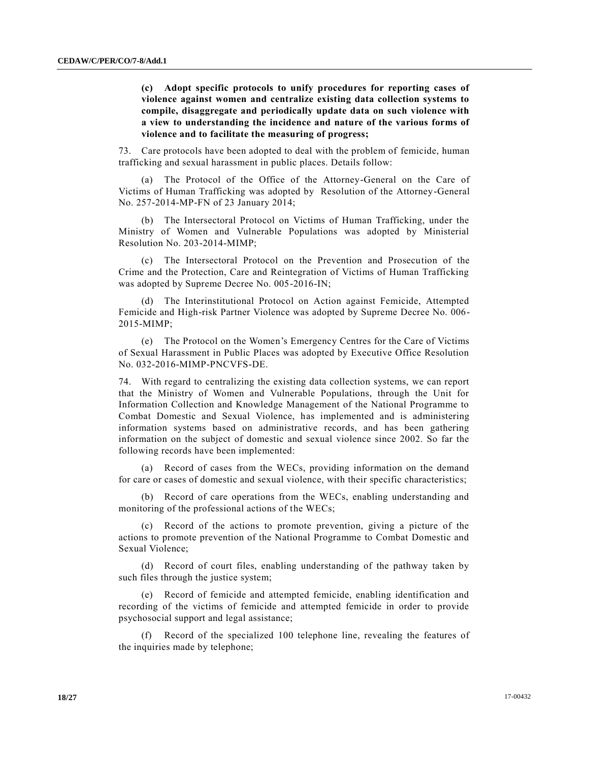**(c) Adopt specific protocols to unify procedures for reporting cases of violence against women and centralize existing data collection systems to compile, disaggregate and periodically update data on such violence with a view to understanding the incidence and nature of the various forms of violence and to facilitate the measuring of progress;**

73. Care protocols have been adopted to deal with the problem of femicide, human trafficking and sexual harassment in public places. Details follow:

(a) The Protocol of the Office of the Attorney-General on the Care of Victims of Human Trafficking was adopted by Resolution of the Attorney-General No. 257-2014-MP-FN of 23 January 2014;

(b) The Intersectoral Protocol on Victims of Human Trafficking, under the Ministry of Women and Vulnerable Populations was adopted by Ministerial Resolution No. 203-2014-MIMP;

(c) The Intersectoral Protocol on the Prevention and Prosecution of the Crime and the Protection, Care and Reintegration of Victims of Human Trafficking was adopted by Supreme Decree No. 005-2016-IN;

(d) The Interinstitutional Protocol on Action against Femicide, Attempted Femicide and High-risk Partner Violence was adopted by Supreme Decree No. 006- 2015-MIMP;

(e) The Protocol on the Women's Emergency Centres for the Care of Victims of Sexual Harassment in Public Places was adopted by Executive Office Resolution No. 032-2016-MIMP-PNCVFS-DE.

74. With regard to centralizing the existing data collection systems, we can report that the Ministry of Women and Vulnerable Populations, through the Unit for Information Collection and Knowledge Management of the National Programme to Combat Domestic and Sexual Violence, has implemented and is administering information systems based on administrative records, and has been gathering information on the subject of domestic and sexual violence since 2002. So far the following records have been implemented:

(a) Record of cases from the WECs, providing information on the demand for care or cases of domestic and sexual violence, with their specific characteristics;

(b) Record of care operations from the WECs, enabling understanding and monitoring of the professional actions of the WECs;

(c) Record of the actions to promote prevention, giving a picture of the actions to promote prevention of the National Programme to Combat Domestic and Sexual Violence;

(d) Record of court files, enabling understanding of the pathway taken by such files through the justice system;

(e) Record of femicide and attempted femicide, enabling identification and recording of the victims of femicide and attempted femicide in order to provide psychosocial support and legal assistance;

(f) Record of the specialized 100 telephone line, revealing the features of the inquiries made by telephone;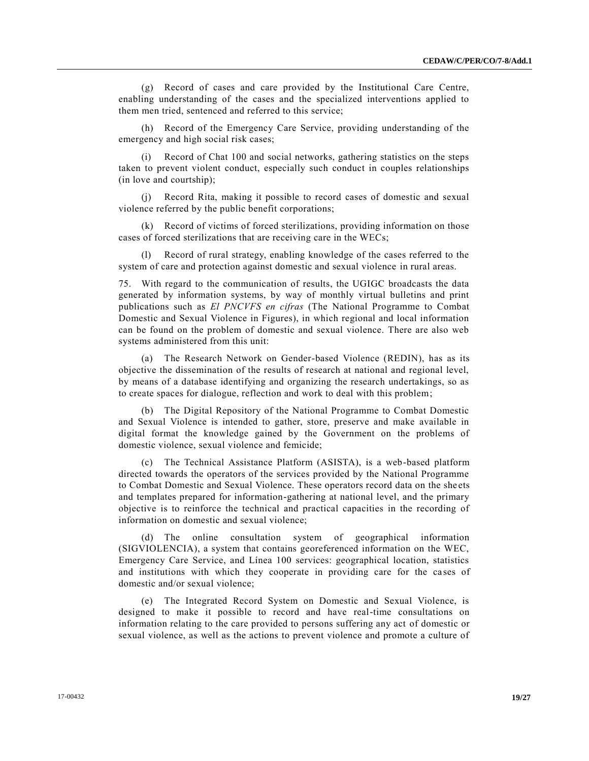(g) Record of cases and care provided by the Institutional Care Centre, enabling understanding of the cases and the specialized interventions applied to them men tried, sentenced and referred to this service;

(h) Record of the Emergency Care Service, providing understanding of the emergency and high social risk cases;

(i) Record of Chat 100 and social networks, gathering statistics on the steps taken to prevent violent conduct, especially such conduct in couples relationships (in love and courtship);

(j) Record Rita, making it possible to record cases of domestic and sexual violence referred by the public benefit corporations;

(k) Record of victims of forced sterilizations, providing information on those cases of forced sterilizations that are receiving care in the WECs;

Record of rural strategy, enabling knowledge of the cases referred to the system of care and protection against domestic and sexual violence in rural areas.

75. With regard to the communication of results, the UGIGC broadcasts the data generated by information systems, by way of monthly virtual bulletins and print publications such as *El PNCVFS en cifras* (The National Programme to Combat Domestic and Sexual Violence in Figures), in which regional and local information can be found on the problem of domestic and sexual violence. There are also web systems administered from this unit:

(a) The Research Network on Gender-based Violence (REDIN), has as its objective the dissemination of the results of research at national and regional level, by means of a database identifying and organizing the research undertakings, so as to create spaces for dialogue, reflection and work to deal with this problem;

(b) The Digital Repository of the National Programme to Combat Domestic and Sexual Violence is intended to gather, store, preserve and make available in digital format the knowledge gained by the Government on the problems of domestic violence, sexual violence and femicide;

(c) The Technical Assistance Platform (ASISTA), is a web-based platform directed towards the operators of the services provided by the National Programme to Combat Domestic and Sexual Violence. These operators record data on the sheets and templates prepared for information-gathering at national level, and the primary objective is to reinforce the technical and practical capacities in the recording of information on domestic and sexual violence;

(d) The online consultation system of geographical information (SIGVIOLENCIA), a system that contains georeferenced information on the WEC, Emergency Care Service, and Línea 100 services: geographical location, statistics and institutions with which they cooperate in providing care for the cases of domestic and/or sexual violence;

(e) The Integrated Record System on Domestic and Sexual Violence, is designed to make it possible to record and have real-time consultations on information relating to the care provided to persons suffering any act of domestic or sexual violence, as well as the actions to prevent violence and promote a culture of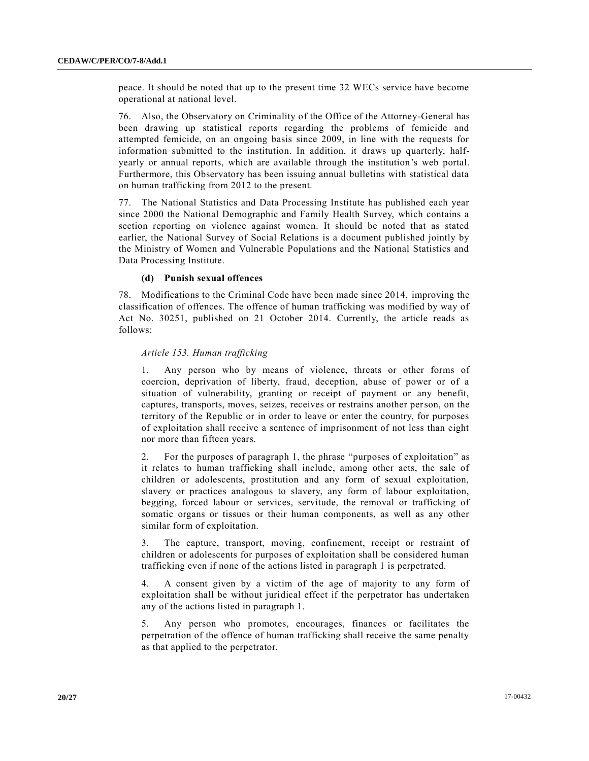peace. It should be noted that up to the present time 32 WECs service have become operational at national level.

76. Also, the Observatory on Criminality of the Office of the Attorney-General has been drawing up statistical reports regarding the problems of femicide and attempted femicide, on an ongoing basis since 2009, in line with the requests for information submitted to the institution. In addition, it draws up quarterly, halfyearly or annual reports, which are available through the institution's web portal. Furthermore, this Observatory has been issuing annual bulletins with statistical data on human trafficking from 2012 to the present.

77. The National Statistics and Data Processing Institute has published each year since 2000 the National Demographic and Family Health Survey, which contains a section reporting on violence against women. It should be noted that as stated earlier, the National Survey of Social Relations is a document published jointly by the Ministry of Women and Vulnerable Populations and the National Statistics and Data Processing Institute.

#### **(d) Punish sexual offences**

78. Modifications to the Criminal Code have been made since 2014, improving the classification of offences. The offence of human trafficking was modified by way of Act No. 30251, published on 21 October 2014. Currently, the article reads as follows:

# *Article 153. Human trafficking*

1. Any person who by means of violence, threats or other forms of coercion, deprivation of liberty, fraud, deception, abuse of power or of a situation of vulnerability, granting or receipt of payment or any benefit, captures, transports, moves, seizes, receives or restrains another person, on the territory of the Republic or in order to leave or enter the country, for purposes of exploitation shall receive a sentence of imprisonment of not less than eight nor more than fifteen years.

2. For the purposes of paragraph 1, the phrase "purposes of exploitation" as it relates to human trafficking shall include, among other acts, the sale of children or adolescents, prostitution and any form of sexual exploitation, slavery or practices analogous to slavery, any form of labour exploitation, begging, forced labour or services, servitude, the removal or trafficking of somatic organs or tissues or their human components, as well as any other similar form of exploitation.

3. The capture, transport, moving, confinement, receipt or restraint of children or adolescents for purposes of exploitation shall be considered human trafficking even if none of the actions listed in paragraph 1 is perpetrated.

4. A consent given by a victim of the age of majority to any form of exploitation shall be without juridical effect if the perpetrator has undertaken any of the actions listed in paragraph 1.

5. Any person who promotes, encourages, finances or facilitates the perpetration of the offence of human trafficking shall receive the same penalty as that applied to the perpetrator.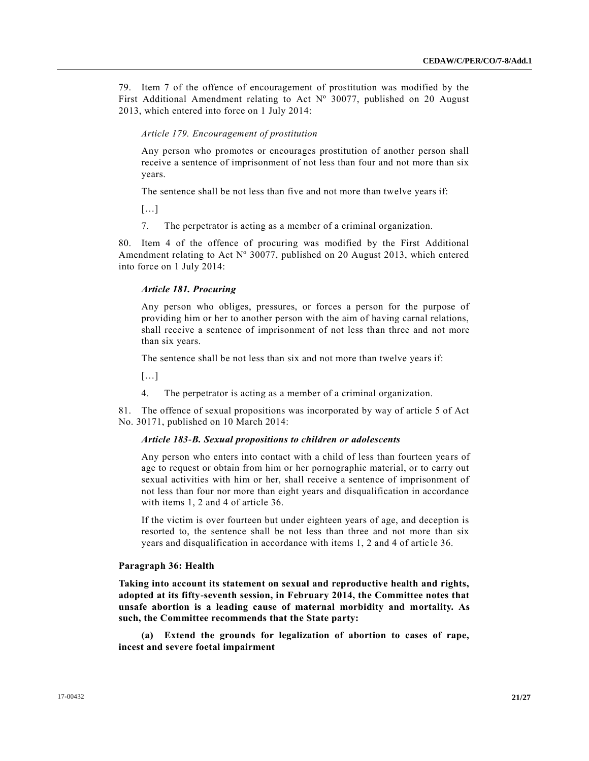79. Item 7 of the offence of encouragement of prostitution was modified by the First Additional Amendment relating to Act Nº 30077, published on 20 August 2013, which entered into force on 1 July 2014:

#### *Article 179. Encouragement of prostitution*

Any person who promotes or encourages prostitution of another person shall receive a sentence of imprisonment of not less than four and not more than six years.

The sentence shall be not less than five and not more than twelve years if:

[…]

7. The perpetrator is acting as a member of a criminal organization.

80. Item 4 of the offence of procuring was modified by the First Additional Amendment relating to Act Nº 30077, published on 20 August 2013, which entered into force on 1 July 2014:

#### *Article 181. Procuring*

Any person who obliges, pressures, or forces a person for the purpose of providing him or her to another person with the aim of having carnal relations, shall receive a sentence of imprisonment of not less than three and not more than six years.

The sentence shall be not less than six and not more than twelve years if:

[…]

4. The perpetrator is acting as a member of a criminal organization.

81. The offence of sexual propositions was incorporated by way of article 5 of Act No. 30171, published on 10 March 2014:

#### *Article 183-B. Sexual propositions to children or adolescents*

Any person who enters into contact with a child of less than fourteen years of age to request or obtain from him or her pornographic material, or to carry out sexual activities with him or her, shall receive a sentence of imprisonment of not less than four nor more than eight years and disqualification in accordance with items 1, 2 and 4 of article 36.

If the victim is over fourteen but under eighteen years of age, and deception is resorted to, the sentence shall be not less than three and not more than six years and disqualification in accordance with items 1, 2 and 4 of artic le 36.

#### **Paragraph 36: Health**

**Taking into account its statement on sexual and reproductive health and rights, adopted at its fifty-seventh session, in February 2014, the Committee notes that unsafe abortion is a leading cause of maternal morbidity and mortality. As such, the Committee recommends that the State party:**

**(a) Extend the grounds for legalization of abortion to cases of rape, incest and severe foetal impairment**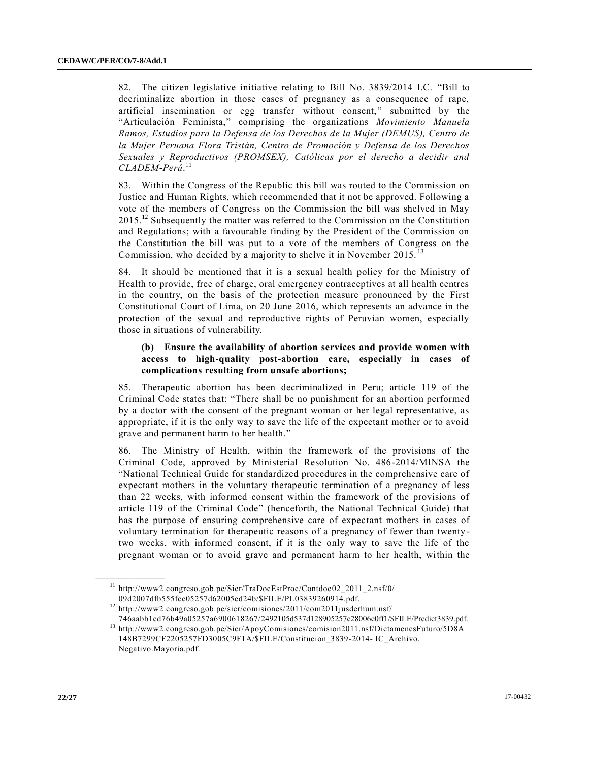82. The citizen legislative initiative relating to Bill No. 3839/2014 I.C. "Bill to decriminalize abortion in those cases of pregnancy as a consequence of rape, artificial insemination or egg transfer without consent," submitted by the "Articulación Feminista," comprising the organizations *Movimiento Manuela Ramos, Estudios para la Defensa de los Derechos de la Mujer (DEMUS), Centro de la Mujer Peruana Flora Tristán, Centro de Promoción y Defensa de los Derechos Sexuales y Reproductivos (PROMSEX), Católicas por el derecho a decidir and CLADEM-Perú*. 11

83. Within the Congress of the Republic this bill was routed to the Commission on Justice and Human Rights, which recommended that it not be approved. Following a vote of the members of Congress on the Commission the bill was shelved in May  $2015<sup>12</sup>$  Subsequently the matter was referred to the Commission on the Constitution and Regulations; with a favourable finding by the President of the Commission on the Constitution the bill was put to a vote of the members of Congress on the Commission, who decided by a majority to shelve it in November 2015.<sup>13</sup>

84. It should be mentioned that it is a sexual health policy for the Ministry of Health to provide, free of charge, oral emergency contraceptives at all health centres in the country, on the basis of the protection measure pronounced by the First Constitutional Court of Lima, on 20 June 2016, which represents an advance in the protection of the sexual and reproductive rights of Peruvian women, especially those in situations of vulnerability.

# **(b) Ensure the availability of abortion services and provide women with access to high-quality post-abortion care, especially in cases of complications resulting from unsafe abortions;**

85. Therapeutic abortion has been decriminalized in Peru; article 119 of the Criminal Code states that: "There shall be no punishment for an abortion performed by a doctor with the consent of the pregnant woman or her legal representative, as appropriate, if it is the only way to save the life of the expectant mother or to avoid grave and permanent harm to her health."

86. The Ministry of Health, within the framework of the provisions of the Criminal Code, approved by Ministerial Resolution No. 486-2014/MINSA the "National Technical Guide for standardized procedures in the comprehensive care of expectant mothers in the voluntary therapeutic termination of a pregnancy of less than 22 weeks, with informed consent within the framework of the provisions of article 119 of the Criminal Code" (henceforth, the National Technical Guide) that has the purpose of ensuring comprehensive care of expectant mothers in cases of voluntary termination for therapeutic reasons of a pregnancy of fewer than twenty two weeks, with informed consent, if it is the only way to save the life of the pregnant woman or to avoid grave and permanent harm to her health, within the

**\_\_\_\_\_\_\_\_\_\_\_\_\_\_\_\_\_\_**

<sup>&</sup>lt;sup>11</sup> http://www2.congreso.gob.pe/Sicr/TraDocEstProc/Contdoc02\_2011\_2.nsf/0/ 09d2007dfb555fce05257d62005ed24b/\$FILE/PL03839260914.pdf.

<sup>12</sup> http://www2.congreso.gob.pe/sicr/comisiones/2011/com2011jusderhum.nsf/ 746aabb1ed76b49a05257a6900618267/2492105d537d128905257e28006e0ff1/\$FILE/Predict3839.pdf.

<sup>13</sup> http://www2.congreso.gob.pe/Sicr/ApoyComisiones/comision2011.nsf/DictamenesFuturo/5D8A 148B7299CF2205257FD3005C9F1A/\$FILE/Constitucion\_3839-2014- IC\_Archivo. Negativo.Mayoria.pdf.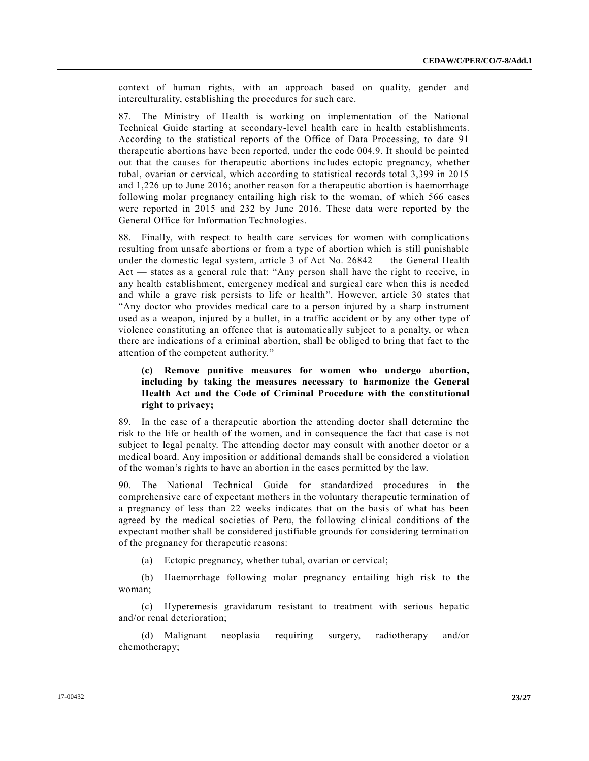context of human rights, with an approach based on quality, gender and interculturality, establishing the procedures for such care.

87. The Ministry of Health is working on implementation of the National Technical Guide starting at secondary-level health care in health establishments. According to the statistical reports of the Office of Data Processing, to date 91 therapeutic abortions have been reported, under the code 004.9. It should be pointed out that the causes for therapeutic abortions includes ectopic pregnancy, whether tubal, ovarian or cervical, which according to statistical records total 3,399 in 2015 and 1,226 up to June 2016; another reason for a therapeutic abortion is haemorrhage following molar pregnancy entailing high risk to the woman, of which 566 cases were reported in 2015 and 232 by June 2016. These data were reported by the General Office for Information Technologies.

88. Finally, with respect to health care services for women with complications resulting from unsafe abortions or from a type of abortion which is still punishable under the domestic legal system, article 3 of Act No. 26842 — the General Health Act — states as a general rule that: "Any person shall have the right to receive, in any health establishment, emergency medical and surgical care when this is needed and while a grave risk persists to life or health". However, article 30 states that "Any doctor who provides medical care to a person injured by a sharp instrument used as a weapon, injured by a bullet, in a traffic accident or by any other type of violence constituting an offence that is automatically subject to a penalty, or when there are indications of a criminal abortion, shall be obliged to bring that fact to the attention of the competent authority."

# **(c) Remove punitive measures for women who undergo abortion, including by taking the measures necessary to harmonize the General Health Act and the Code of Criminal Procedure with the constitutional right to privacy;**

89. In the case of a therapeutic abortion the attending doctor shall determine the risk to the life or health of the women, and in consequence the fact that case is not subject to legal penalty. The attending doctor may consult with another doctor or a medical board. Any imposition or additional demands shall be considered a violation of the woman's rights to have an abortion in the cases permitted by the law.

90. The National Technical Guide for standardized procedures in the comprehensive care of expectant mothers in the voluntary therapeutic termination of a pregnancy of less than 22 weeks indicates that on the basis of what has been agreed by the medical societies of Peru, the following clinical conditions of the expectant mother shall be considered justifiable grounds for considering termination of the pregnancy for therapeutic reasons:

(a) Ectopic pregnancy, whether tubal, ovarian or cervical;

(b) Haemorrhage following molar pregnancy entailing high risk to the woman;

(c) Hyperemesis gravidarum resistant to treatment with serious hepatic and/or renal deterioration;

(d) Malignant neoplasia requiring surgery, radiotherapy and/or chemotherapy;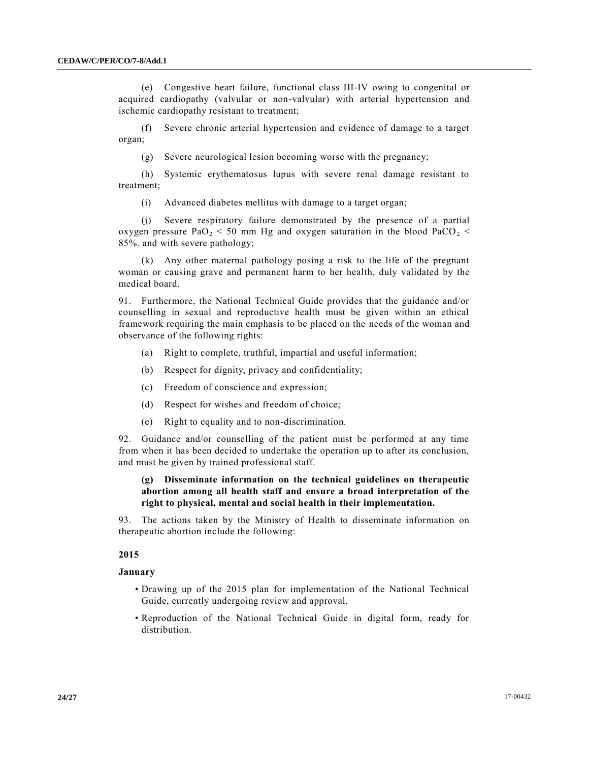(e) Congestive heart failure, functional class III-IV owing to congenital or acquired cardiopathy (valvular or non-valvular) with arterial hypertension and ischemic cardiopathy resistant to treatment;

(f) Severe chronic arterial hypertension and evidence of damage to a target organ;

(g) Severe neurological lesion becoming worse with the pregnancy;

(h) Systemic erythematosus lupus with severe renal damage resistant to treatment;

(i) Advanced diabetes mellitus with damage to a target organ;

(j) Severe respiratory failure demonstrated by the presence of a partial oxygen pressure PaO<sub>2</sub> < 50 mm Hg and oxygen saturation in the blood PaCO<sub>2</sub> < 85%. and with severe pathology;

(k) Any other maternal pathology posing a risk to the life of the pregnant woman or causing grave and permanent harm to her health, duly validated by the medical board.

91. Furthermore, the National Technical Guide provides that the guidance and/or counselling in sexual and reproductive health must be given within an ethical framework requiring the main emphasis to be placed on the needs of the woman and observance of the following rights:

- (a) Right to complete, truthful, impartial and useful information;
- (b) Respect for dignity, privacy and confidentiality;
- (c) Freedom of conscience and expression;
- (d) Respect for wishes and freedom of choice;
- (e) Right to equality and to non-discrimination.

92. Guidance and/or counselling of the patient must be performed at any time from when it has been decided to undertake the operation up to after its conclusion, and must be given by trained professional staff.

# **(g) Disseminate information on the technical guidelines on therapeutic abortion among all health staff and ensure a broad interpretation of the right to physical, mental and social health in their implementation.**

93. The actions taken by the Ministry of Health to disseminate information on therapeutic abortion include the following:

#### **2015**

#### **January**

- Drawing up of the 2015 plan for implementation of the National Technical Guide, currently undergoing review and approval.
- Reproduction of the National Technical Guide in digital form, ready for distribution.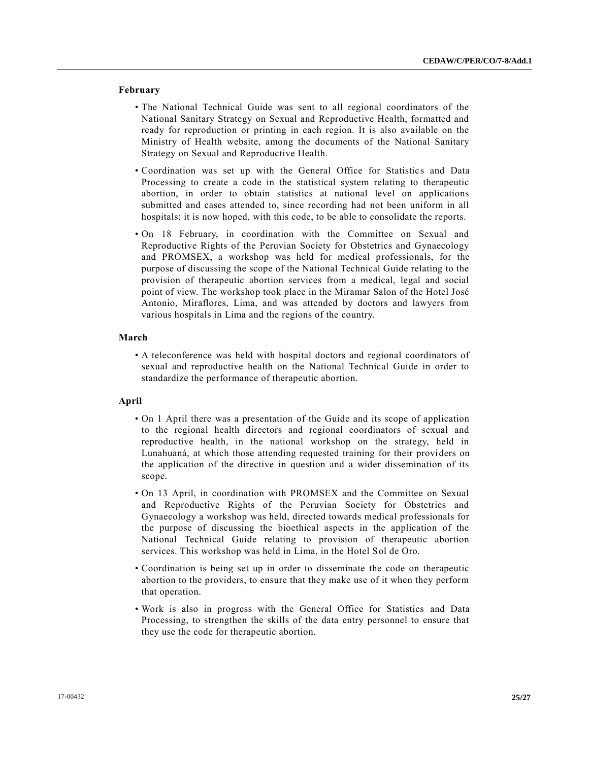#### **February**

- The National Technical Guide was sent to all regional coordinators of the National Sanitary Strategy on Sexual and Reproductive Health, formatted and ready for reproduction or printing in each region. It is also available on the Ministry of Health website, among the documents of the National Sanitary Strategy on Sexual and Reproductive Health.
- Coordination was set up with the General Office for Statistics and Data Processing to create a code in the statistical system relating to therapeutic abortion, in order to obtain statistics at national level on applications submitted and cases attended to, since recording had not been uniform in all hospitals; it is now hoped, with this code, to be able to consolidate the reports.
- On 18 February, in coordination with the Committee on Sexual and Reproductive Rights of the Peruvian Society for Obstetrics and Gynaecology and PROMSEX, a workshop was held for medical professionals, for the purpose of discussing the scope of the National Technical Guide relating to the provision of therapeutic abortion services from a medical, legal and social point of view. The workshop took place in the Miramar Salon of the Hotel José Antonio, Miraflores, Lima, and was attended by doctors and lawyers from various hospitals in Lima and the regions of the country.

#### **March**

• A teleconference was held with hospital doctors and regional coordinators of sexual and reproductive health on the National Technical Guide in order to standardize the performance of therapeutic abortion.

#### **April**

- On 1 April there was a presentation of the Guide and its scope of application to the regional health directors and regional coordinators of sexual and reproductive health, in the national workshop on the strategy, held in Lunahuaná, at which those attending requested training for their providers on the application of the directive in question and a wider dissemination of its scope.
- On 13 April, in coordination with PROMSEX and the Committee on Sexual and Reproductive Rights of the Peruvian Society for Obstetrics and Gynaecology a workshop was held, directed towards medical professionals for the purpose of discussing the bioethical aspects in the application of the National Technical Guide relating to provision of therapeutic abortion services. This workshop was held in Lima, in the Hotel Sol de Oro.
- Coordination is being set up in order to disseminate the code on therapeutic abortion to the providers, to ensure that they make use of it when they perform that operation.
- Work is also in progress with the General Office for Statistics and Data Processing, to strengthen the skills of the data entry personnel to ensure that they use the code for therapeutic abortion.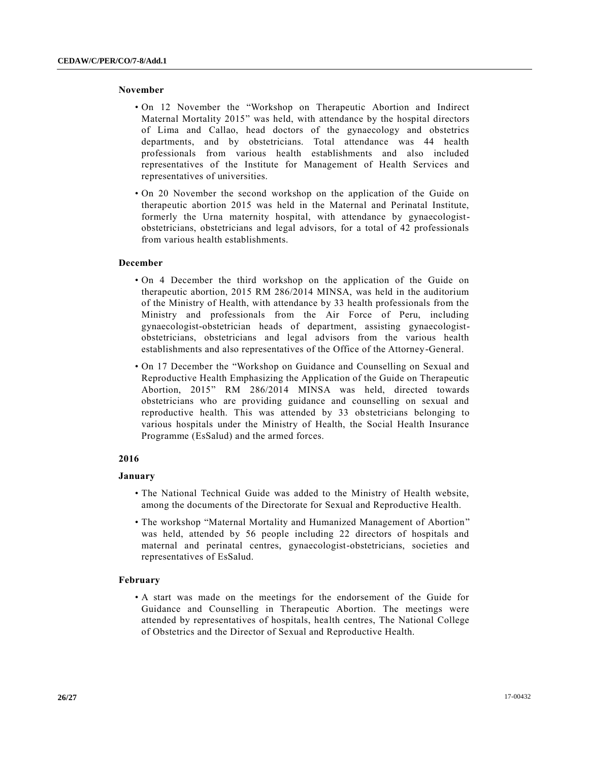#### **November**

- On 12 November the "Workshop on Therapeutic Abortion and Indirect Maternal Mortality 2015" was held, with attendance by the hospital directors of Lima and Callao, head doctors of the gynaecology and obstetrics departments, and by obstetricians. Total attendance was 44 health professionals from various health establishments and also included representatives of the Institute for Management of Health Services and representatives of universities.
- On 20 November the second workshop on the application of the Guide on therapeutic abortion 2015 was held in the Maternal and Perinatal Institute, formerly the Urna maternity hospital, with attendance by gynaecologistobstetricians, obstetricians and legal advisors, for a total of 42 professionals from various health establishments.

#### **December**

- On 4 December the third workshop on the application of the Guide on therapeutic abortion, 2015 RM 286/2014 MINSA, was held in the auditorium of the Ministry of Health, with attendance by 33 health professionals from the Ministry and professionals from the Air Force of Peru, including gynaecologist-obstetrician heads of department, assisting gynaecologistobstetricians, obstetricians and legal advisors from the various health establishments and also representatives of the Office of the Attorney-General.
- On 17 December the "Workshop on Guidance and Counselling on Sexual and Reproductive Health Emphasizing the Application of the Guide on Therapeutic Abortion, 2015" RM 286/2014 MINSA was held, directed towards obstetricians who are providing guidance and counselling on sexual and reproductive health. This was attended by 33 obstetricians belonging to various hospitals under the Ministry of Health, the Social Health Insurance Programme (EsSalud) and the armed forces.

#### **2016**

#### **January**

- The National Technical Guide was added to the Ministry of Health website, among the documents of the Directorate for Sexual and Reproductive Health.
- The workshop "Maternal Mortality and Humanized Management of Abortion" was held, attended by 56 people including 22 directors of hospitals and maternal and perinatal centres, gynaecologist-obstetricians, societies and representatives of EsSalud.

#### **February**

• A start was made on the meetings for the endorsement of the Guide for Guidance and Counselling in Therapeutic Abortion. The meetings were attended by representatives of hospitals, health centres, The National College of Obstetrics and the Director of Sexual and Reproductive Health.